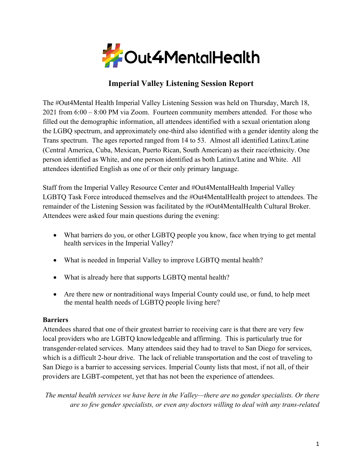

# **Imperial Valley Listening Session Report**

The #Out4Mental Health Imperial Valley Listening Session was held on Thursday, March 18, 2021 from 6:00 – 8:00 PM via Zoom. Fourteen community members attended. For those who filled out the demographic information, all attendees identified with a sexual orientation along the LGBQ spectrum, and approximately one-third also identified with a gender identity along the Trans spectrum. The ages reported ranged from 14 to 53. Almost all identified Latinx/Latine (Central America, Cuba, Mexican, Puerto Rican, South American) as their race/ethnicity. One person identified as White, and one person identified as both Latinx/Latine and White. All attendees identified English as one of or their only primary language.

Staff from the Imperial Valley Resource Center and #Out4MentalHealth Imperial Valley LGBTQ Task Force introduced themselves and the #Out4MentalHealth project to attendees. The remainder of the Listening Session was facilitated by the #Out4MentalHealth Cultural Broker. Attendees were asked four main questions during the evening:

- What barriers do you, or other LGBTO people you know, face when trying to get mental health services in the Imperial Valley?
- What is needed in Imperial Valley to improve LGBTQ mental health?
- What is already here that supports LGBTQ mental health?
- Are there new or nontraditional ways Imperial County could use, or fund, to help meet the mental health needs of LGBTQ people living here?

## **Barriers**

Attendees shared that one of their greatest barrier to receiving care is that there are very few local providers who are LGBTQ knowledgeable and affirming. This is particularly true for transgender-related services. Many attendees said they had to travel to San Diego for services, which is a difficult 2-hour drive. The lack of reliable transportation and the cost of traveling to San Diego is a barrier to accessing services. Imperial County lists that most, if not all, of their providers are LGBT-competent, yet that has not been the experience of attendees.

*The mental health services we have here in the Valley—there are no gender specialists. Or there are so few gender specialists, or even any doctors willing to deal with any trans-related*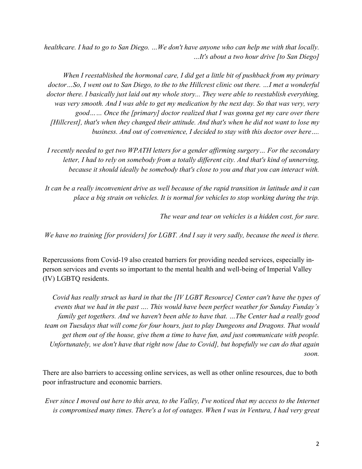*healthcare. I had to go to San Diego. …We don't have anyone who can help me with that locally. …It's about a two hour drive [to San Diego]*

*When I reestablished the hormonal care, I did get a little bit of pushback from my primary doctor…So, I went out to San Diego, to the to the Hillcrest clinic out there. …I met a wonderful doctor there. I basically just laid out my whole story... They were able to reestablish everything, was very smooth. And I was able to get my medication by the next day. So that was very, very good…… Once the [primary] doctor realized that I was gonna get my care over there [Hillcrest], that's when they changed their attitude. And that's when he did not want to lose my business. And out of convenience, I decided to stay with this doctor over here….*

*I recently needed to get two WPATH letters for a gender affirming surgery… For the secondary letter, I had to rely on somebody from a totally different city. And that's kind of unnerving, because it should ideally be somebody that's close to you and that you can interact with.*

*It can be a really inconvenient drive as well because of the rapid transition in latitude and it can place a big strain on vehicles. It is normal for vehicles to stop working during the trip.*

*The wear and tear on vehicles is a hidden cost, for sure.*

*We have no training [for providers] for LGBT. And I say it very sadly, because the need is there.*

Repercussions from Covid-19 also created barriers for providing needed services, especially inperson services and events so important to the mental health and well-being of Imperial Valley (IV) LGBTQ residents.

*Covid has really struck us hard in that the [IV LGBT Resource] Center can't have the types of events that we had in the past …. This would have been perfect weather for Sunday Funday's family get togethers. And we haven't been able to have that. …The Center had a really good team on Tuesdays that will come for four hours, just to play Dungeons and Dragons. That would get them out of the house, give them a time to have fun, and just communicate with people. Unfortunately, we don't have that right now [due to Covid], but hopefully we can do that again soon.* 

There are also barriers to accessing online services, as well as other online resources, due to both poor infrastructure and economic barriers.

*Ever since I moved out here to this area, to the Valley, I've noticed that my access to the Internet is compromised many times. There's a lot of outages. When I was in Ventura, I had very great*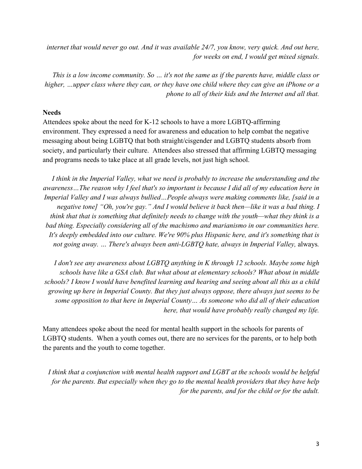*internet that would never go out. And it was available 24/7, you know, very quick. And out here, for weeks on end, I would get mixed signals.*

*This is a low income community. So … it's not the same as if the parents have, middle class or higher, …upper class where they can, or they have one child where they can give an iPhone or a phone to all of their kids and the Internet and all that.*

### **Needs**

Attendees spoke about the need for K-12 schools to have a more LGBTQ-affirming environment. They expressed a need for awareness and education to help combat the negative messaging about being LGBTQ that both straight/cisgender and LGBTQ students absorb from society, and particularly their culture. Attendees also stressed that affirming LGBTQ messaging and programs needs to take place at all grade levels, not just high school.

*I think in the Imperial Valley, what we need is probably to increase the understanding and the awareness…The reason why I feel that's so important is because I did all of my education here in Imperial Valley and I was always bullied…People always were making comments like, [said in a negative tone] "Oh, you're gay." And I would believe it back then—like it was a bad thing. I think that that is something that definitely needs to change with the youth—what they think is a bad thing. Especially considering all of the machismo and marianismo in our communities here. It's deeply embedded into our culture. We're 90% plus Hispanic here, and it's something that is not going away. ... There's always been anti-LGBTQ hate, always in Imperial Valley, always.* 

*I don't see any awareness about LGBTQ anything in K through 12 schools. Maybe some high schools have like a GSA club. But what about at elementary schools? What about in middle schools? I know I would have benefited learning and hearing and seeing about all this as a child growing up here in Imperial County. But they just always oppose, there always just seems to be some opposition to that here in Imperial County… As someone who did all of their education here, that would have probably really changed my life.*

Many attendees spoke about the need for mental health support in the schools for parents of LGBTQ students. When a youth comes out, there are no services for the parents, or to help both the parents and the youth to come together.

*I think that a conjunction with mental health support and LGBT at the schools would be helpful for the parents. But especially when they go to the mental health providers that they have help for the parents, and for the child or for the adult.*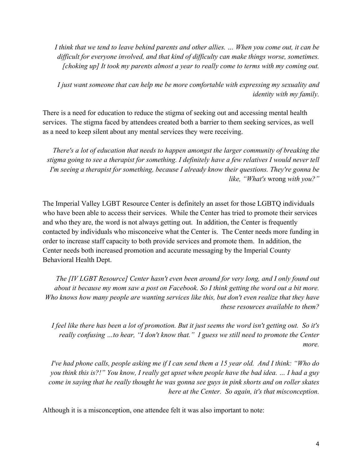*I think that we tend to leave behind parents and other allies. … When you come out, it can be difficult for everyone involved, and that kind of difficulty can make things worse, sometimes. [choking up] It took my parents almost a year to really come to terms with my coming out.*

*I just want someone that can help me be more comfortable with expressing my sexuality and identity with my family.*

There is a need for education to reduce the stigma of seeking out and accessing mental health services. The stigma faced by attendees created both a barrier to them seeking services, as well as a need to keep silent about any mental services they were receiving.

*There's a lot of education that needs to happen amongst the larger community of breaking the stigma going to see a therapist for something. I definitely have a few relatives I would never tell I'm seeing a therapist for something, because I already know their questions. They're gonna be like, "What's* wrong *with you?"* 

The Imperial Valley LGBT Resource Center is definitely an asset for those LGBTQ individuals who have been able to access their services. While the Center has tried to promote their services and who they are, the word is not always getting out. In addition, the Center is frequently contacted by individuals who misconceive what the Center is. The Center needs more funding in order to increase staff capacity to both provide services and promote them. In addition, the Center needs both increased promotion and accurate messaging by the Imperial County Behavioral Health Dept.

*The [IV LGBT Resource] Center hasn't even been around for very long, and I only found out about it because my mom saw a post on Facebook. So I think getting the word out a bit more. Who knows how many people are wanting services like this, but don't even realize that they have these resources available to them?*

*I feel like there has been a lot of promotion. But it just seems the word isn't getting out. So it's really confusing …to hear, "I don't know that." I guess we still need to promote the Center more.*

*I've had phone calls, people asking me if I can send them a 15 year old. And I think: "Who do you think this is?!" You know, I really get upset when people have the bad idea. … I had a guy come in saying that he really thought he was gonna see guys in pink shorts and on roller skates here at the Center. So again, it's that misconception.*

Although it is a misconception, one attendee felt it was also important to note: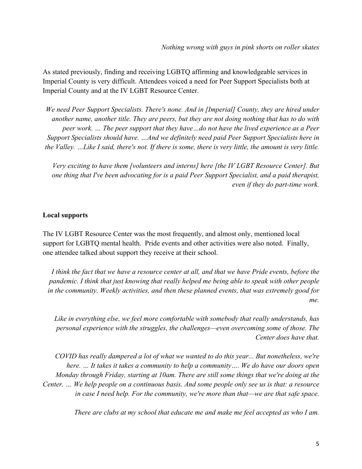As stated previously, finding and receiving LGBTQ affirming and knowledgeable services in Imperial County is very difficult. Attendees voiced a need for Peer Support Specialists both at Imperial County and at the IV LGBT Resource Center.

*We need Peer Support Specialists. There's none. And in [Imperial] County, they are hired under another name, another title. They are peers, but they are not doing nothing that has to do with peer work. … The peer support that they have…do not have the lived experience as a Peer Support Specialists should have. …And we definitely need paid Peer Support Specialists here in the Valley. ...Like I said, there's not. If there is some, there is very little, the amount is very little.* 

*Very exciting to have them [volunteers and interns] here [the IV LGBT Resource Center]. But one thing that I've been advocating for is a paid Peer Support Specialist, and a paid therapist, even if they do part-time work.*

#### **Local supports**

The IV LGBT Resource Center was the most frequently, and almost only, mentioned local support for LGBTQ mental health. Pride events and other activities were also noted. Finally, one attendee talked about support they receive at their school.

*I think the fact that we have a resource center at all, and that we have Pride events, before the pandemic. I think that just knowing that really helped me being able to speak with other people in the community. Weekly activities, and then these planned events, that was extremely good for me.* 

*Like in everything else, we feel more comfortable with somebody that really understands, has personal experience with the struggles, the challenges—even overcoming some of those. The Center does have that.*

*COVID has really dampered a lot of what we wanted to do this year... But nonetheless, we're here. … It takes it takes a community to help a community…. We do have our doors open Monday through Friday, starting at 10am. There are still some things that we're doing at the Center. … We help people on a continuous basis. And some people only see us is that: a resource in case I need help. For the community, we're more than that—we are that safe space.*

*There are clubs at my school that educate me and make me feel accepted as who I am.*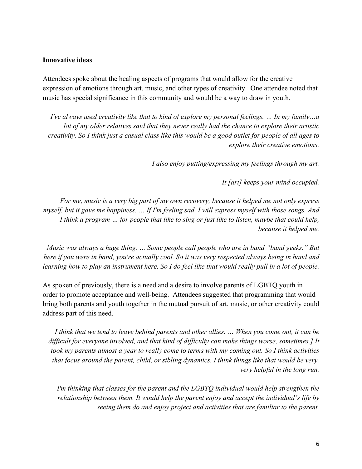#### **Innovative ideas**

Attendees spoke about the healing aspects of programs that would allow for the creative expression of emotions through art, music, and other types of creativity. One attendee noted that music has special significance in this community and would be a way to draw in youth.

*I've always used creativity like that to kind of explore my personal feelings. … In my family…a lot of my older relatives said that they never really had the chance to explore their artistic creativity. So I think just a casual class like this would be a good outlet for people of all ages to explore their creative emotions.* 

*I also enjoy putting/expressing my feelings through my art.*

*It [art] keeps your mind occupied.*

*For me, music is a very big part of my own recovery, because it helped me not only express myself, but it gave me happiness. … If I'm feeling sad, I will express myself with those songs. And I think a program … for people that like to sing or just like to listen, maybe that could help, because it helped me.* 

*Music was always a huge thing. … Some people call people who are in band "band geeks." But here if you were in band, you're actually cool. So it was very respected always being in band and learning how to play an instrument here. So I do feel like that would really pull in a lot of people.*

As spoken of previously, there is a need and a desire to involve parents of LGBTQ youth in order to promote acceptance and well-being. Attendees suggested that programming that would bring both parents and youth together in the mutual pursuit of art, music, or other creativity could address part of this need.

*I think that we tend to leave behind parents and other allies. … When you come out, it can be difficult for everyone involved, and that kind of difficulty can make things worse, sometimes.] It took my parents almost a year to really come to terms with my coming out. So I think activities that focus around the parent, child, or sibling dynamics, I think things like that would be very, very helpful in the long run.*

*I'm thinking that classes for the parent and the LGBTQ individual would help strengthen the relationship between them. It would help the parent enjoy and accept the individual's life by seeing them do and enjoy project and activities that are familiar to the parent.*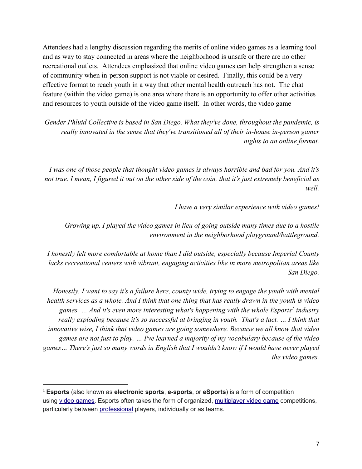Attendees had a lengthy discussion regarding the merits of online video games as a learning tool and as way to stay connected in areas where the neighborhood is unsafe or there are no other recreational outlets. Attendees emphasized that online video games can help strengthen a sense of community when in-person support is not viable or desired. Finally, this could be a very effective format to reach youth in a way that other mental health outreach has not. The chat feature (within the video game) is one area where there is an opportunity to offer other activities and resources to youth outside of the video game itself. In other words, the video game

*Gender Phluid Collective is based in San Diego. What they've done, throughout the pandemic, is really innovated in the sense that they've transitioned all of their in-house in-person gamer nights to an online format.*

*I was one of those people that thought video games is always horrible and bad for you. And it's not true. I mean, I figured it out on the other side of the coin, that it's just extremely beneficial as well.*

*I have a very similar experience with video games!*

*Growing up, I played the video games in lieu of going outside many times due to a hostile environment in the neighborhood playground/battleground.*

*I honestly felt more comfortable at home than I did outside, especially because Imperial County lacks recreational centers with vibrant, engaging activities like in more metropolitan areas like San Diego.*

*Honestly, I want to say it's a failure here, county wide, trying to engage the youth with mental health services as a whole. And I think that one thing that has really drawn in the youth is video games. ... And it's even more interesting what's happening with the whole Esports<sup>1</sup> industry really exploding because it's so successful at bringing in youth. That's a fact. ... I think that innovative wise, I think that video games are going somewhere. Because we all know that video games are not just to play. … I've learned a majority of my vocabulary because of the video games… There's just so many words in English that I wouldn't know if I would have never played the video games.*

<sup>1</sup> **Esports** (also known as **electronic sports**, **e-sports**, or **eSports**) is a form of competition using video games. Esports often takes the form of organized, multiplayer video game competitions, particularly between professional players, individually or as teams.